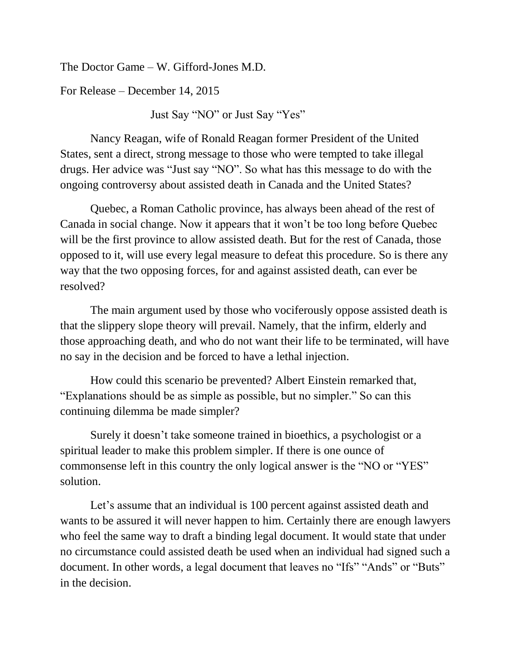The Doctor Game – W. Gifford-Jones M.D.

For Release – December 14, 2015

Just Say "NO" or Just Say "Yes"

Nancy Reagan, wife of Ronald Reagan former President of the United States, sent a direct, strong message to those who were tempted to take illegal drugs. Her advice was "Just say "NO". So what has this message to do with the ongoing controversy about assisted death in Canada and the United States?

Quebec, a Roman Catholic province, has always been ahead of the rest of Canada in social change. Now it appears that it won't be too long before Quebec will be the first province to allow assisted death. But for the rest of Canada, those opposed to it, will use every legal measure to defeat this procedure. So is there any way that the two opposing forces, for and against assisted death, can ever be resolved?

The main argument used by those who vociferously oppose assisted death is that the slippery slope theory will prevail. Namely, that the infirm, elderly and those approaching death, and who do not want their life to be terminated, will have no say in the decision and be forced to have a lethal injection.

How could this scenario be prevented? Albert Einstein remarked that, "Explanations should be as simple as possible, but no simpler." So can this continuing dilemma be made simpler?

Surely it doesn't take someone trained in bioethics, a psychologist or a spiritual leader to make this problem simpler. If there is one ounce of commonsense left in this country the only logical answer is the "NO or "YES" solution.

Let's assume that an individual is 100 percent against assisted death and wants to be assured it will never happen to him. Certainly there are enough lawyers who feel the same way to draft a binding legal document. It would state that under no circumstance could assisted death be used when an individual had signed such a document. In other words, a legal document that leaves no "Ifs" "Ands" or "Buts" in the decision.